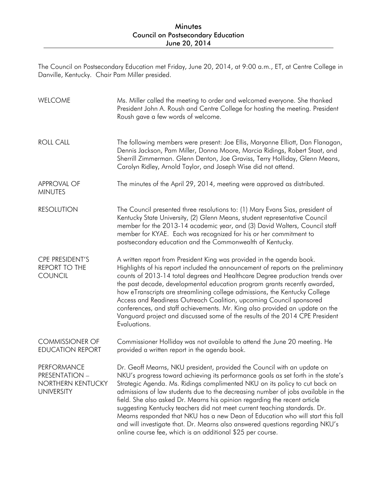The Council on Postsecondary Education met Friday, June 20, 2014, at 9:00 a.m., ET, at Centre College in Danville, Kentucky. Chair Pam Miller presided.

| WELCOME                                                                        | Ms. Miller called the meeting to order and welcomed everyone. She thanked<br>President John A. Roush and Centre College for hosting the meeting. President<br>Roush gave a few words of welcome.                                                                                                                                                                                                                                                                                                                                                                                                                                                                                                                           |
|--------------------------------------------------------------------------------|----------------------------------------------------------------------------------------------------------------------------------------------------------------------------------------------------------------------------------------------------------------------------------------------------------------------------------------------------------------------------------------------------------------------------------------------------------------------------------------------------------------------------------------------------------------------------------------------------------------------------------------------------------------------------------------------------------------------------|
| <b>ROLL CALL</b>                                                               | The following members were present: Joe Ellis, Maryanne Elliott, Dan Flanagan,<br>Dennis Jackson, Pam Miller, Donna Moore, Marcia Ridings, Robert Staat, and<br>Sherrill Zimmerman. Glenn Denton, Joe Graviss, Terry Holliday, Glenn Means,<br>Carolyn Ridley, Arnold Taylor, and Joseph Wise did not attend.                                                                                                                                                                                                                                                                                                                                                                                                              |
| <b>APPROVAL OF</b><br><b>MINUTES</b>                                           | The minutes of the April 29, 2014, meeting were approved as distributed.                                                                                                                                                                                                                                                                                                                                                                                                                                                                                                                                                                                                                                                   |
| <b>RESOLUTION</b>                                                              | The Council presented three resolutions to: (1) Mary Evans Sias, president of<br>Kentucky State University, (2) Glenn Means, student representative Council<br>member for the 2013-14 academic year, and (3) David Walters, Council staff<br>member for KYAE. Each was recognized for his or her commitment to<br>postsecondary education and the Commonwealth of Kentucky.                                                                                                                                                                                                                                                                                                                                                |
| CPE PRESIDENT'S<br><b>REPORT TO THE</b><br><b>COUNCIL</b>                      | A written report from President King was provided in the agenda book.<br>Highlights of his report included the announcement of reports on the preliminary<br>counts of 2013-14 total degrees and Healthcare Degree production trends over<br>the past decade, developmental education program grants recently awarded,<br>how eTranscripts are streamlining college admissions, the Kentucky College<br>Access and Readiness Outreach Coalition, upcoming Council sponsored<br>conferences, and staff achievements. Mr. King also provided an update on the<br>Vanguard project and discussed some of the results of the 2014 CPE President<br>Evaluations.                                                                |
| <b>COMMISSIONER OF</b><br><b>EDUCATION REPORT</b>                              | Commissioner Holliday was not available to attend the June 20 meeting. He<br>provided a written report in the agenda book.                                                                                                                                                                                                                                                                                                                                                                                                                                                                                                                                                                                                 |
| PERFORMANCE<br><b>PRESENTATION -</b><br>NORTHERN KENTUCKY<br><b>UNIVERSITY</b> | Dr. Geoff Mearns, NKU president, provided the Council with an update on<br>NKU's progress toward achieving its performance goals as set forth in the state's<br>Strategic Agenda. Ms. Ridings complimented NKU on its policy to cut back on<br>admissions of law students due to the decreasing number of jobs available in the<br>field. She also asked Dr. Mearns his opinion regarding the recent article<br>suggesting Kentucky teachers did not meet current teaching standards. Dr.<br>Mearns responded that NKU has a new Dean of Education who will start this fall<br>and will investigate that. Dr. Mearns also answered questions regarding NKU's<br>online course fee, which is an additional \$25 per course. |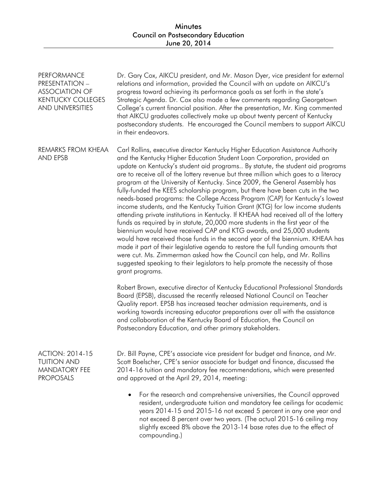| PERFORMANCE<br>PRESENTATION -<br><b>ASSOCIATION OF</b><br><b>KENTUCKY COLLEGES</b><br>AND UNIVERSITIES | Dr. Gary Cox, AIKCU president, and Mr. Mason Dyer, vice president for external<br>relations and information, provided the Council with an update on AIKCU's<br>progress toward achieving its performance goals as set forth in the state's<br>Strategic Agenda. Dr. Cox also made a few comments regarding Georgetown<br>College's current financial position. After the presentation, Mr. King commented<br>that AIKCU graduates collectively make up about twenty percent of Kentucky<br>postsecondary students. He encouraged the Council members to support AIKCU<br>in their endeavors.                                                                                                                                                                                                                                                                                                                                                                                                                                                                                                                                                                                                                                                                                   |
|--------------------------------------------------------------------------------------------------------|--------------------------------------------------------------------------------------------------------------------------------------------------------------------------------------------------------------------------------------------------------------------------------------------------------------------------------------------------------------------------------------------------------------------------------------------------------------------------------------------------------------------------------------------------------------------------------------------------------------------------------------------------------------------------------------------------------------------------------------------------------------------------------------------------------------------------------------------------------------------------------------------------------------------------------------------------------------------------------------------------------------------------------------------------------------------------------------------------------------------------------------------------------------------------------------------------------------------------------------------------------------------------------|
| REMARKS FROM KHEAA<br>AND EPSB                                                                         | Carl Rollins, executive director Kentucky Higher Education Assistance Authority<br>and the Kentucky Higher Education Student Loan Corporation, provided an<br>update on Kentucky's student aid programs By statute, the student aid programs<br>are to receive all of the lottery revenue but three million which goes to a literacy<br>program at the University of Kentucky. Since 2009, the General Assembly has<br>fully-funded the KEES scholarship program, but there have been cuts in the two<br>needs-based programs: the College Access Program (CAP) for Kentucky's lowest<br>income students, and the Kentucky Tuition Grant (KTG) for low income students<br>attending private institutions in Kentucky. If KHEAA had received all of the lottery<br>funds as required by in statute, 20,000 more students in the first year of the<br>biennium would have received CAP and KTG awards, and 25,000 students<br>would have received those funds in the second year of the biennium. KHEAA has<br>made it part of their legislative agenda to restore the full funding amounts that<br>were cut. Ms. Zimmerman asked how the Council can help, and Mr. Rollins<br>suggested speaking to their legislators to help promote the necessity of those<br>grant programs. |
|                                                                                                        | Robert Brown, executive director of Kentucky Educational Professional Standards<br>Board (EPSB), discussed the recently released National Council on Teacher<br>Quality report. EPSB has increased teacher admission requirements, and is<br>working towards increasing educator preparations over all with the assistance<br>and collaboration of the Kentucky Board of Education, the Council on<br>Postsecondary Education, and other primary stakeholders.                                                                                                                                                                                                                                                                                                                                                                                                                                                                                                                                                                                                                                                                                                                                                                                                                 |
| <b>ACTION: 2014-15</b><br><b>TUITION AND</b><br><b>MANDATORY FEE</b><br><b>PROPOSALS</b>               | Dr. Bill Payne, CPE's associate vice president for budget and finance, and Mr.<br>Scott Boelscher, CPE's senior associate for budget and finance, discussed the<br>2014-16 tuition and mandatory fee recommendations, which were presented<br>and approved at the April 29, 2014, meeting:                                                                                                                                                                                                                                                                                                                                                                                                                                                                                                                                                                                                                                                                                                                                                                                                                                                                                                                                                                                     |
|                                                                                                        | For the research and comprehensive universities, the Council approved<br>$\bullet$<br>resident, undergraduate tuition and mandatory fee ceilings for academic<br>years 2014-15 and 2015-16 not exceed 5 percent in any one year and<br>not exceed 8 percent over two years. (The actual 2015-16 ceiling may<br>slightly exceed 8% above the 2013-14 base rates due to the effect of<br>compounding.)                                                                                                                                                                                                                                                                                                                                                                                                                                                                                                                                                                                                                                                                                                                                                                                                                                                                           |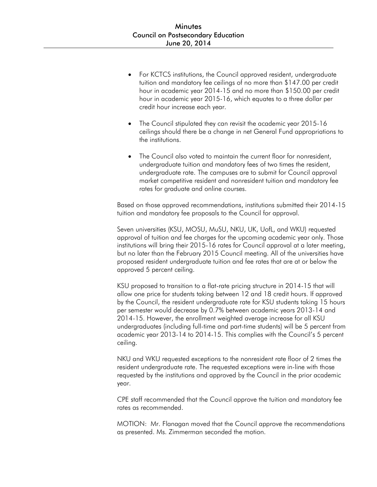- For KCTCS institutions, the Council approved resident, undergraduate tuition and mandatory fee ceilings of no more than \$147.00 per credit hour in academic year 2014-15 and no more than \$150.00 per credit hour in academic year 2015-16, which equates to a three dollar per credit hour increase each year.
- The Council stipulated they can revisit the academic year 2015-16 ceilings should there be a change in net General Fund appropriations to the institutions.
- The Council also voted to maintain the current floor for nonresident, undergraduate tuition and mandatory fees of two times the resident, undergraduate rate. The campuses are to submit for Council approval market competitive resident and nonresident tuition and mandatory fee rates for graduate and online courses.

Based on those approved recommendations, institutions submitted their 2014-15 tuition and mandatory fee proposals to the Council for approval.

Seven universities (KSU, MOSU, MuSU, NKU, UK, UofL, and WKU) requested approval of tuition and fee charges for the upcoming academic year only. Those institutions will bring their 2015-16 rates for Council approval at a later meeting, but no later than the February 2015 Council meeting. All of the universities have proposed resident undergraduate tuition and fee rates that are at or below the approved 5 percent ceiling.

KSU proposed to transition to a flat-rate pricing structure in 2014-15 that will allow one price for students taking between 12 and 18 credit hours. If approved by the Council, the resident undergraduate rate for KSU students taking 15 hours per semester would decrease by 0.7% between academic years 2013-14 and 2014-15. However, the enrollment weighted average increase for all KSU undergraduates (including full-time and part-time students) will be 5 percent from academic year 2013-14 to 2014-15. This complies with the Council's 5 percent ceiling.

NKU and WKU requested exceptions to the nonresident rate floor of 2 times the resident undergraduate rate. The requested exceptions were in-line with those requested by the institutions and approved by the Council in the prior academic year.

CPE staff recommended that the Council approve the tuition and mandatory fee rates as recommended.

MOTION: Mr. Flanagan moved that the Council approve the recommendations as presented. Ms. Zimmerman seconded the motion.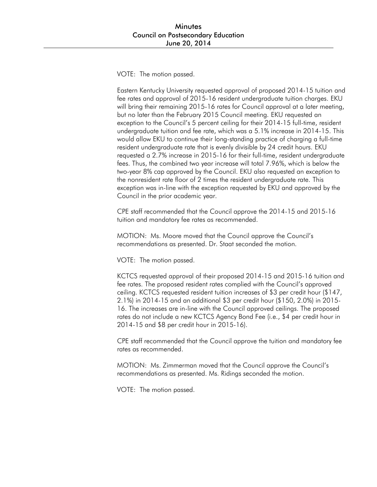VOTE: The motion passed.

Eastern Kentucky University requested approval of proposed 2014-15 tuition and fee rates and approval of 2015-16 resident undergraduate tuition charges. EKU will bring their remaining 2015-16 rates for Council approval at a later meeting, but no later than the February 2015 Council meeting. EKU requested an exception to the Council's 5 percent ceiling for their 2014-15 full-time, resident undergraduate tuition and fee rate, which was a 5.1% increase in 2014-15. This would allow EKU to continue their long-standing practice of charging a full-time resident undergraduate rate that is evenly divisible by 24 credit hours. EKU requested a 2.7% increase in 2015-16 for their full-time, resident undergraduate fees. Thus, the combined two year increase will total 7.96%, which is below the two-year 8% cap approved by the Council. EKU also requested an exception to the nonresident rate floor of 2 times the resident undergraduate rate. This exception was in-line with the exception requested by EKU and approved by the Council in the prior academic year.

CPE staff recommended that the Council approve the 2014-15 and 2015-16 tuition and mandatory fee rates as recommended.

MOTION: Ms. Moore moved that the Council approve the Council's recommendations as presented. Dr. Staat seconded the motion.

VOTE: The motion passed.

KCTCS requested approval of their proposed 2014-15 and 2015-16 tuition and fee rates. The proposed resident rates complied with the Council's approved ceiling. KCTCS requested resident tuition increases of \$3 per credit hour (\$147, 2.1%) in 2014-15 and an additional \$3 per credit hour (\$150, 2.0%) in 2015- 16. The increases are in-line with the Council approved ceilings. The proposed rates do not include a new KCTCS Agency Bond Fee (i.e., \$4 per credit hour in 2014-15 and \$8 per credit hour in 2015-16).

CPE staff recommended that the Council approve the tuition and mandatory fee rates as recommended.

MOTION: Ms. Zimmerman moved that the Council approve the Council's recommendations as presented. Ms. Ridings seconded the motion.

VOTE: The motion passed.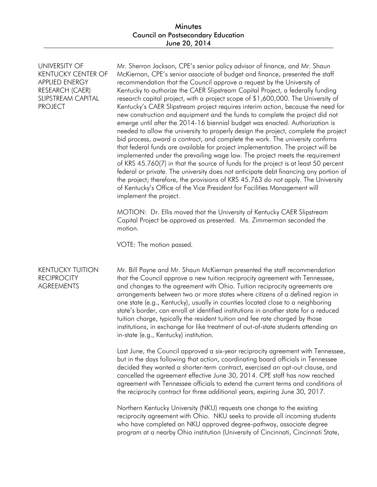UNIVERSITY OF KENTUCKY CENTER OF APPLIED ENERGY RESEARCH (CAER) SLIPSTREAM CAPITAL PROJECT

Mr. Sherron Jackson, CPE's senior policy advisor of finance, and Mr. Shaun McKiernan, CPE's senior associate of budget and finance, presented the staff recommendation that the Council approve a request by the University of Kentucky to authorize the CAER Slipstream Capital Project, a federally funding research capital project, with a project scope of \$1,600,000. The University of Kentucky's CAER Slipstream project requires interim action, because the need for new construction and equipment and the funds to complete the project did not emerge until after the 2014-16 biennial budget was enacted. Authorization is needed to allow the university to properly design the project, complete the project bid process, award a contract, and complete the work. The university confirms that federal funds are available for project implementation. The project will be implemented under the prevailing wage law. The project meets the requirement of KRS 45.760(7) in that the source of funds for the project is at least 50 percent federal or private. The university does not anticipate debt financing any portion of the project; therefore, the provisions of KRS 45.763 do not apply. The University of Kentucky's Office of the Vice President for Facilities Management will implement the project.

MOTION: Dr. Ellis moved that the University of Kentucky CAER Slipstream Capital Project be approved as presented. Ms. Zimmerman seconded the motion.

VOTE: The motion passed.

### KENTUCKY TUITION **RECIPROCITY** AGREEMENTS

Mr. Bill Payne and Mr. Shaun McKiernan presented the staff recommendation that the Council approve a new tuition reciprocity agreement with Tennessee, and changes to the agreement with Ohio. Tuition reciprocity agreements are arrangements between two or more states where citizens of a defined region in one state (e.g., Kentucky), usually in counties located close to a neighboring state's border, can enroll at identified institutions in another state for a reduced tuition charge, typically the resident tuition and fee rate charged by those institutions, in exchange for like treatment of out-of-state students attending an in-state (e.g., Kentucky) institution.

Last June, the Council approved a six-year reciprocity agreement with Tennessee, but in the days following that action, coordinating board officials in Tennessee decided they wanted a shorter-term contract, exercised an opt-out clause, and cancelled the agreement effective June 30, 2014. CPE staff has now reached agreement with Tennessee officials to extend the current terms and conditions of the reciprocity contract for three additional years, expiring June 30, 2017.

Northern Kentucky University (NKU) requests one change to the existing reciprocity agreement with Ohio. NKU seeks to provide all incoming students who have completed an NKU approved degree-pathway, associate degree program at a nearby Ohio institution (University of Cincinnati, Cincinnati State,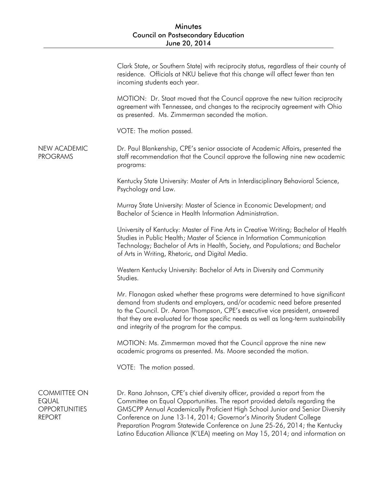|                                                                              | Clark State, or Southern State) with reciprocity status, regardless of their county of<br>residence. Officials at NKU believe that this change will affect fewer than ten<br>incoming students each year.                                                                                                                                                                                                                                                                         |
|------------------------------------------------------------------------------|-----------------------------------------------------------------------------------------------------------------------------------------------------------------------------------------------------------------------------------------------------------------------------------------------------------------------------------------------------------------------------------------------------------------------------------------------------------------------------------|
|                                                                              | MOTION: Dr. Staat moved that the Council approve the new tuition reciprocity<br>agreement with Tennessee, and changes to the reciprocity agreement with Ohio<br>as presented. Ms. Zimmerman seconded the motion.                                                                                                                                                                                                                                                                  |
|                                                                              | VOTE: The motion passed.                                                                                                                                                                                                                                                                                                                                                                                                                                                          |
| <b>NEW ACADEMIC</b><br><b>PROGRAMS</b>                                       | Dr. Paul Blankenship, CPE's senior associate of Academic Affairs, presented the<br>staff recommendation that the Council approve the following nine new academic<br>programs:                                                                                                                                                                                                                                                                                                     |
|                                                                              | Kentucky State University: Master of Arts in Interdisciplinary Behavioral Science,<br>Psychology and Law.                                                                                                                                                                                                                                                                                                                                                                         |
|                                                                              | Murray State University: Master of Science in Economic Development; and<br>Bachelor of Science in Health Information Administration.                                                                                                                                                                                                                                                                                                                                              |
|                                                                              | University of Kentucky: Master of Fine Arts in Creative Writing; Bachelor of Health<br>Studies in Public Health; Master of Science in Information Communication<br>Technology; Bachelor of Arts in Health, Society, and Populations; and Bachelor<br>of Arts in Writing, Rhetoric, and Digital Media.                                                                                                                                                                             |
|                                                                              | Western Kentucky University: Bachelor of Arts in Diversity and Community<br>Studies.                                                                                                                                                                                                                                                                                                                                                                                              |
|                                                                              | Mr. Flanagan asked whether these programs were determined to have significant<br>demand from students and employers, and/or academic need before presented<br>to the Council. Dr. Aaron Thompson, CPE's executive vice president, answered<br>that they are evaluated for those specific needs as well as long-term sustainability<br>and integrity of the program for the campus.                                                                                                |
|                                                                              | MOTION: Ms. Zimmerman moved that the Council approve the nine new<br>academic programs as presented. Ms. Moore seconded the motion.                                                                                                                                                                                                                                                                                                                                               |
|                                                                              | VOTE: The motion passed.                                                                                                                                                                                                                                                                                                                                                                                                                                                          |
| <b>COMMITTEE ON</b><br><b>EQUAL</b><br><b>OPPORTUNITIES</b><br><b>REPORT</b> | Dr. Rana Johnson, CPE's chief diversity officer, provided a report from the<br>Committee on Equal Opportunities. The report provided details regarding the<br>GMSCPP Annual Academically Proficient High School Junior and Senior Diversity<br>Conference on June 13-14, 2014; Governor's Minority Student College<br>Preparation Program Statewide Conference on June 25-26, 2014; the Kentucky<br>Latino Education Alliance (K'LEA) meeting on May 15, 2014; and information on |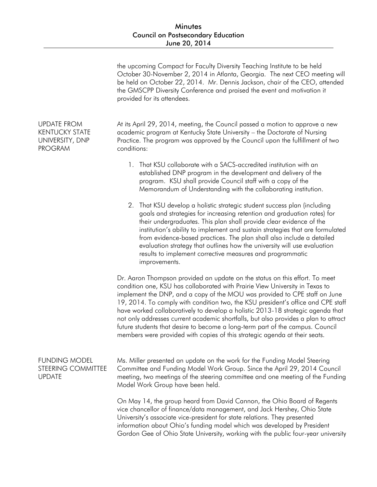|                                                                                  | the upcoming Compact for Faculty Diversity Teaching Institute to be held<br>October 30-November 2, 2014 in Atlanta, Georgia. The next CEO meeting will<br>be held on October 22, 2014. Mr. Dennis Jackson, chair of the CEO, attended<br>the GMSCPP Diversity Conference and praised the event and motivation it<br>provided for its attendees.                                                                                                                                                                                                                                                                                                                        |
|----------------------------------------------------------------------------------|------------------------------------------------------------------------------------------------------------------------------------------------------------------------------------------------------------------------------------------------------------------------------------------------------------------------------------------------------------------------------------------------------------------------------------------------------------------------------------------------------------------------------------------------------------------------------------------------------------------------------------------------------------------------|
| <b>UPDATE FROM</b><br><b>KENTUCKY STATE</b><br>UNIVERSITY, DNP<br><b>PROGRAM</b> | At its April 29, 2014, meeting, the Council passed a motion to approve a new<br>academic program at Kentucky State University - the Doctorate of Nursing<br>Practice. The program was approved by the Council upon the fulfillment of two<br>conditions:                                                                                                                                                                                                                                                                                                                                                                                                               |
|                                                                                  | That KSU collaborate with a SACS-accredited institution with an<br>1.<br>established DNP program in the development and delivery of the<br>program. KSU shall provide Council staff with a copy of the<br>Memorandum of Understanding with the collaborating institution.                                                                                                                                                                                                                                                                                                                                                                                              |
|                                                                                  | That KSU develop a holistic strategic student success plan (including<br>2.<br>goals and strategies for increasing retention and graduation rates) for<br>their undergraduates. This plan shall provide clear evidence of the<br>institution's ability to implement and sustain strategies that are formulated<br>from evidence-based practices. The plan shall also include a detailed<br>evaluation strategy that outlines how the university will use evaluation<br>results to implement corrective measures and programmatic<br>improvements.                                                                                                                      |
|                                                                                  | Dr. Aaron Thompson provided an update on the status on this effort. To meet<br>condition one, KSU has collaborated with Prairie View University in Texas to<br>implement the DNP, and a copy of the MOU was provided to CPE staff on June<br>19, 2014. To comply with condition two, the KSU president's office and CPE staff<br>have worked collaboratively to develop a holistic 2013-18 strategic agenda that<br>not only addresses current academic shortfalls, but also provides a plan to attract<br>future students that desire to become a long-term part of the campus. Council<br>members were provided with copies of this strategic agenda at their seats. |
| <b>FUNDING MODEL</b><br><b>STEERING COMMITTEE</b><br><b>UPDATE</b>               | Ms. Miller presented an update on the work for the Funding Model Steering<br>Committee and Funding Model Work Group. Since the April 29, 2014 Council<br>meeting, two meetings of the steering committee and one meeting of the Funding<br>Model Work Group have been held.                                                                                                                                                                                                                                                                                                                                                                                            |
|                                                                                  | On May 14, the group heard from David Cannon, the Ohio Board of Regents<br>vice chancellor of finance/data management, and Jack Hershey, Ohio State<br>University's associate vice-president for state relations. They presented<br>information about Ohio's funding model which was developed by President<br>Gordon Gee of Ohio State University, working with the public four-year university                                                                                                                                                                                                                                                                       |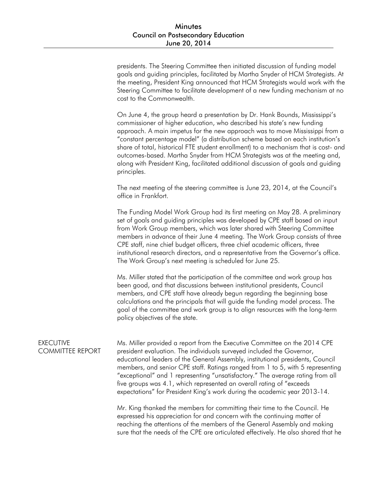presidents. The Steering Committee then initiated discussion of funding model goals and guiding principles, facilitated by Martha Snyder of HCM Strategists. At the meeting, President King announced that HCM Strategists would work with the Steering Committee to facilitate development of a new funding mechanism at no cost to the Commonwealth.

On June 4, the group heard a presentation by Dr. Hank Bounds, Mississippi's commissioner of higher education, who described his state's new funding approach. A main impetus for the new approach was to move Mississippi from a "constant percentage model" (a distribution scheme based on each institution's share of total, historical FTE student enrollment) to a mechanism that is cost- and outcomes-based. Martha Snyder from HCM Strategists was at the meeting and, along with President King, facilitated additional discussion of goals and guiding principles.

The next meeting of the steering committee is June 23, 2014, at the Council's office in Frankfort.

The Funding Model Work Group had its first meeting on May 28. A preliminary set of goals and guiding principles was developed by CPE staff based on input from Work Group members, which was later shared with Steering Committee members in advance of their June 4 meeting. The Work Group consists of three CPE staff, nine chief budget officers, three chief academic officers, three institutional research directors, and a representative from the Governor's office. The Work Group's next meeting is scheduled for June 25.

Ms. Miller stated that the participation of the committee and work group has been good, and that discussions between institutional presidents, Council members, and CPE staff have already begun regarding the beginning base calculations and the principals that will guide the funding model process. The goal of the committee and work group is to align resources with the long-term policy objectives of the state.

### **FXFCUTIVE** COMMITTEE REPORT

Ms. Miller provided a report from the Executive Committee on the 2014 CPE president evaluation. The individuals surveyed included the Governor, educational leaders of the General Assembly, institutional presidents, Council members, and senior CPE staff. Ratings ranged from 1 to 5, with 5 representing "exceptional" and 1 representing "unsatisfactory." The average rating from all five groups was 4.1, which represented an overall rating of "exceeds expectations" for President King's work during the academic year 2013-14.

Mr. King thanked the members for committing their time to the Council. He expressed his appreciation for and concern with the continuing matter of reaching the attentions of the members of the General Assembly and making sure that the needs of the CPE are articulated effectively. He also shared that he